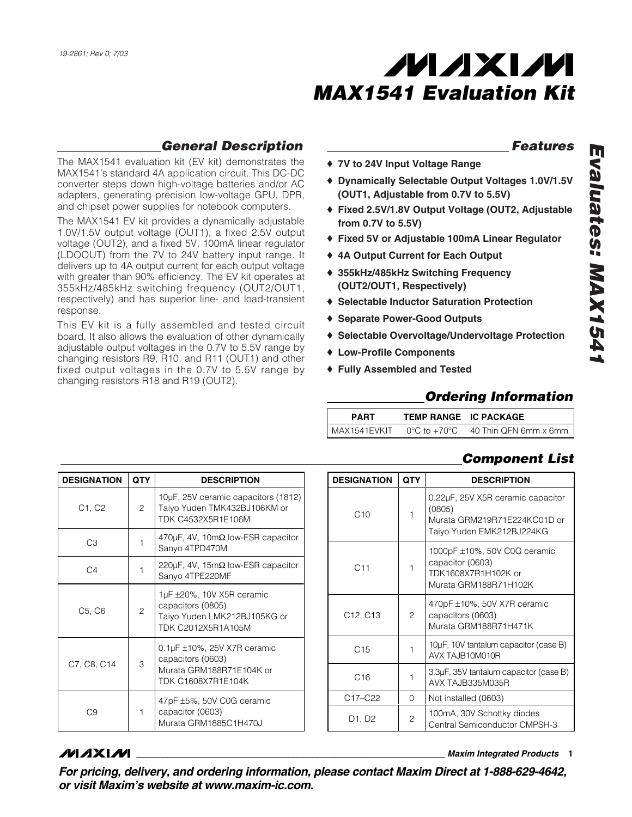

#### *General Description*

The MAX1541 evaluation kit (EV kit) demonstrates the MAX1541's standard 4A application circuit. This DC-DC converter steps down high-voltage batteries and/or AC adapters, generating precision low-voltage GPU, DPR, and chipset power supplies for notebook computers.

The MAX1541 EV kit provides a dynamically adjustable 1.0V/1.5V output voltage (OUT1), a fixed 2.5V output voltage (OUT2), and a fixed 5V, 100mA linear regulator (LDOOUT) from the 7V to 24V battery input range. It delivers up to 4A output current for each output voltage with greater than 90% efficiency. The EV kit operates at 355kHz/485kHz switching frequency (OUT2/OUT1, respectively) and has superior line- and load-transient response.

This EV kit is a fully assembled and tested circuit board. It also allows the evaluation of other dynamically adjustable output voltages in the 0.7V to 5.5V range by changing resistors R9, R10, and R11 (OUT1) and other fixed output voltages in the 0.7V to 5.5V range by changing resistors R18 and R19 (OUT2).

#### *Features*

- ♦ **7V to 24V Input Voltage Range**
- ♦ **Dynamically Selectable Output Voltages 1.0V/1.5V (OUT1, Adjustable from 0.7V to 5.5V)**
- ♦ **Fixed 2.5V/1.8V Output Voltage (OUT2, Adjustable from 0.7V to 5.5V)**
- ♦ **Fixed 5V or Adjustable 100mA Linear Regulator**
- ♦ **4A Output Current for Each Output**
- ♦ **355kHz/485kHz Switching Frequency (OUT2/OUT1, Respectively)**
- ♦ **Selectable Inductor Saturation Protection**
- ♦ **Separate Power-Good Outputs**
- ♦ **Selectable Overvoltage/Undervoltage Protection**
- ♦ **Low-Profile Components**
- ♦ **Fully Assembled and Tested**

#### *Ordering Information*

| <b>PART</b>  | TEMP RANGE IC PACKAGE |                                                             |
|--------------|-----------------------|-------------------------------------------------------------|
| MAX1541EVKIT |                       | $0^{\circ}$ C to +70 $^{\circ}$ C $-$ 40 Thin QFN 6mm x 6mm |

#### *Component List*

| <b>DESIGNATION</b>              | <b>QTY</b> | <b>DESCRIPTION</b>                                                                                                |
|---------------------------------|------------|-------------------------------------------------------------------------------------------------------------------|
| C1, C2                          | 2          | 10µF, 25V ceramic capacitors (1812)<br>Taiyo Yuden TMK432BJ106KM or<br>TDK C4532X5R1E106M                         |
| CЗ                              |            | 470 $\mu$ F, 4V, 10m $\Omega$ low-ESR capacitor<br>Sanyo 4TPD470M                                                 |
| C <sub>4</sub>                  | 1          | 220μF, 4V, 15mΩ low-ESR capacitor<br>Sanyo 4TPE220MF                                                              |
| C <sub>5</sub> , C <sub>6</sub> | 2          | 1µF ±20%, 10V X5R ceramic<br>capacitors (0805)<br>Taiyo Yuden LMK212BJ105KG or<br>TDK C2012X5R1A105M              |
| C7, C8, C14                     | 3          | $0.1$ µF $\pm$ 10%, 25V X7R ceramic<br>capacitors (0603)<br>Murata GRM188R71E104K or<br><b>TDK C1608X7R1E104K</b> |
| 0.۹                             | 1          | 47pF ±5%, 50V C0G ceramic<br>capacitor (0603)<br>Murata GRM1885C1H470J                                            |

| <b>DESIGNATION</b>                | <b>QTY</b> | <b>DESCRIPTION</b>                                                                                       |
|-----------------------------------|------------|----------------------------------------------------------------------------------------------------------|
| C10                               | 1          | 0.22µF, 25V X5R ceramic capacitor<br>(0805)<br>Murata GRM219R71E224KC01D or<br>Taiyo Yuden EMK212BJ224KG |
| C11                               | 1          | 1000pF ±10%, 50V C0G ceramic<br>capacitor (0603)<br>TDK1608X7R1H102K or<br>Murata GRM188R71H102K         |
| C <sub>12</sub> , C <sub>13</sub> | 2          | 470pF ±10%, 50V X7R ceramic<br>capacitors (0603)<br>Murata GRM188R71H471K                                |
| C <sub>15</sub>                   | 1          | 10µF, 10V tantalum capacitor (case B)<br>AVX TAJR10M010R                                                 |
| C16                               | 1          | 3.3µF, 35V tantalum capacitor (case B)<br>AVX TAJB335M035R                                               |
| C17-C22                           | 0          | Not installed (0603)                                                                                     |
| D1, D2                            | 2          | 100mA, 30V Schottky diodes<br>Central Semiconductor CMPSH-3                                              |

#### **MAXIM**

**\_\_\_\_\_\_\_\_\_\_\_\_\_\_\_\_\_\_\_\_\_\_\_\_\_\_\_\_\_\_\_\_\_\_\_\_\_\_\_\_\_\_\_\_\_\_\_\_\_\_\_\_\_\_\_\_\_\_\_\_\_\_\_\_** *Maxim Integrated Products* **1**

*For pricing, delivery, and ordering information, please contact Maxim Direct at 1-888-629-4642, or visit Maxim's website at www.maxim-ic.com.*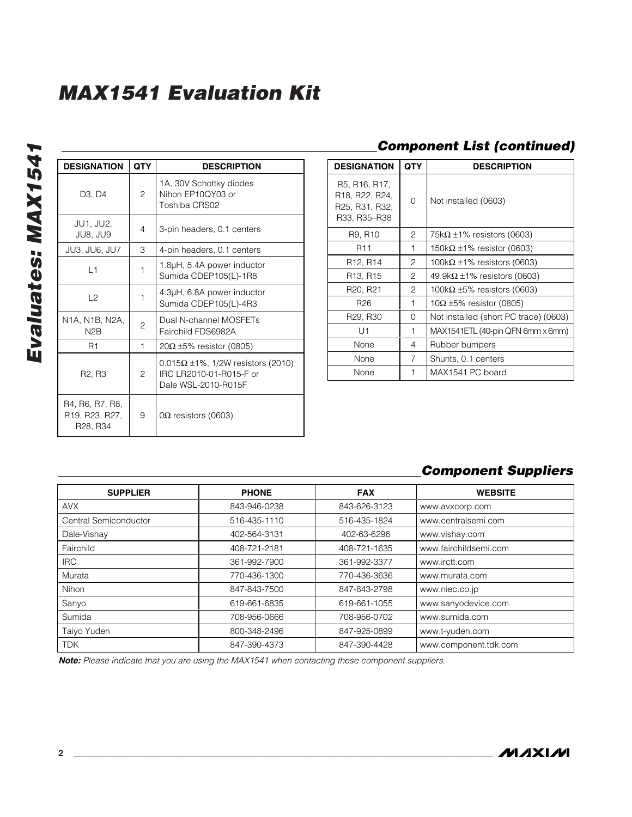| <b>DESIGNATION</b>                                                     | <b>QTY</b>     | <b>DESCRIPTION</b>                                                                              |
|------------------------------------------------------------------------|----------------|-------------------------------------------------------------------------------------------------|
| D <sub>3</sub> . D <sub>4</sub>                                        | 2              | 1A, 30V Schottky diodes<br>Nihon EP10QY03 or<br>Toshiba CRS02                                   |
| <b>JU1, JU2,</b><br>JU8, JU9                                           | 4              | 3-pin headers, 0.1 centers                                                                      |
| JU3, JU6, JU7                                                          | 3              | 4-pin headers, 0.1 centers                                                                      |
| $\overline{1}$ 1                                                       | 1              | 1.8µH, 5.4A power inductor<br>Sumida CDEP105(L)-1R8                                             |
| $\sqrt{2}$                                                             | 1              | 4.3µH, 6.8A power inductor<br>Sumida CDEP105(L)-4R3                                             |
| N1A, N1B, N2A,<br>N <sub>2</sub> R                                     | $\overline{c}$ | Dual N-channel MOSFETs<br>Fairchild FDS6982A                                                    |
| R <sub>1</sub>                                                         | 1              | $20\Omega$ ±5% resistor (0805)                                                                  |
| R <sub>2</sub> , R <sub>3</sub>                                        | $\overline{c}$ | $0.015\Omega \pm 1\%$ , 1/2W resistors (2010)<br>IRC LR2010-01-R015-F or<br>Dale WSL-2010-R015F |
| R4, R6, R7, R8,<br>R19, R23, R27,<br>R <sub>28</sub> , R <sub>34</sub> | 9              | $0\Omega$ resistors (0603)                                                                      |

#### *Component List (continued)*

| <b>DESIGNATION</b>                                                | <b>QTY</b> | <b>DESCRIPTION</b>                    |
|-------------------------------------------------------------------|------------|---------------------------------------|
| R5, R16, R17,<br>R18, R22, R24,<br>R25, R31, R32,<br>R33, R35-R38 | $\Omega$   | Not installed (0603)                  |
| R9, R10                                                           | 2          | 75k $\Omega$ ±1% resistors (0603)     |
| R <sub>11</sub>                                                   | 1          | 150k $\Omega$ ±1% resistor (0603)     |
| R12, R14                                                          | 2          | 100k $\Omega$ ±1% resistors (0603)    |
| R13, R15                                                          | 2          | 49.9k $\Omega$ ±1% resistors (0603)   |
| R <sub>20</sub> , R <sub>21</sub>                                 | 2          | 100k $\Omega$ ±5% resistors (0603)    |
| R <sub>26</sub>                                                   | 1          | 10Ω $\pm$ 5% resistor (0805)          |
| R29, R30                                                          | 0          | Not installed (short PC trace) (0603) |
| U1                                                                | 1          | MAX1541ETL (40-pin QFN 6mm x 6mm)     |
| None                                                              | 4          | Rubber bumpers                        |
| None                                                              | 7          | Shunts, 0.1 centers                   |
| None                                                              |            | MAX1541 PC board                      |

#### *Component Suppliers*

| <b>SUPPLIER</b>       | <b>PHONE</b> | <b>FAX</b>   | <b>WEBSITE</b>        |
|-----------------------|--------------|--------------|-----------------------|
| <b>AVX</b>            | 843-946-0238 | 843-626-3123 | www.avxcorp.com       |
| Central Semiconductor | 516-435-1110 | 516-435-1824 | www.centralsemi.com   |
| Dale-Vishay           | 402-564-3131 | 402-63-6296  | www.vishay.com        |
| Fairchild             | 408-721-2181 | 408-721-1635 | www.fairchildsemi.com |
| <b>IRC</b>            | 361-992-7900 | 361-992-3377 | www.irctt.com         |
| Murata                | 770-436-1300 | 770-436-3636 | www.murata.com        |
| Nihon                 | 847-843-7500 | 847-843-2798 | www.niec.co.jp        |
| Sanyo                 | 619-661-6835 | 619-661-1055 | www.sanyodevice.com   |
| Sumida                | 708-956-0666 | 708-956-0702 | www.sumida.com        |
| Taiyo Yuden           | 800-348-2496 | 847-925-0899 | www.t-yuden.com       |
| <b>TDK</b>            | 847-390-4373 | 847-390-4428 | www.component.tdk.com |

*Note: Please indicate that you are using the MAX1541 when contacting these component suppliers.*

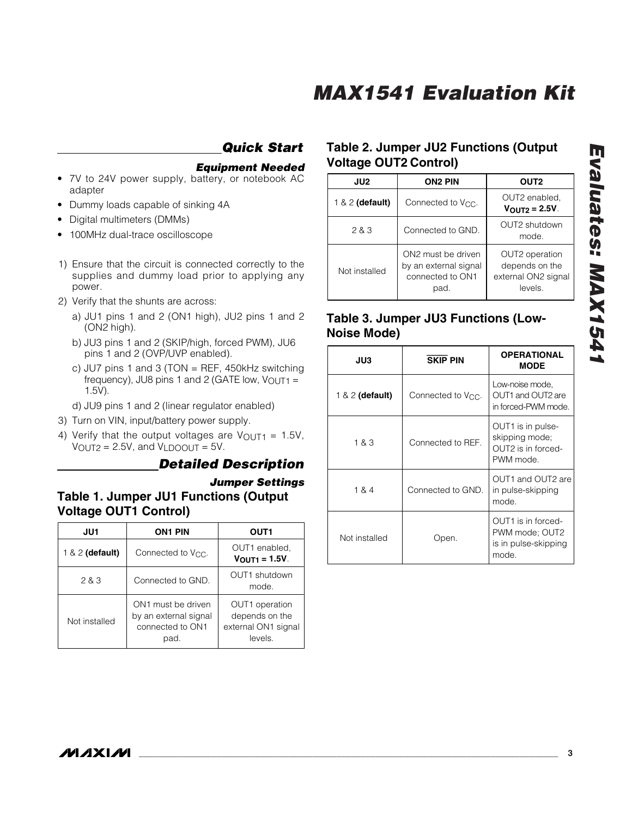### *Quick Start*

#### *Equipment Needed*

- 7V to 24V power supply, battery, or notebook AC adapter
- Dummy loads capable of sinking 4A
- Digital multimeters (DMMs)
- 100MHz dual-trace oscilloscope
- 1) Ensure that the circuit is connected correctly to the supplies and dummy load prior to applying any power.
- 2) Verify that the shunts are across:
	- a) JU1 pins 1 and 2 (ON1 high), JU2 pins 1 and 2 (ON2 high).
	- b) JU3 pins 1 and 2 (SKIP/high, forced PWM), JU6 pins 1 and 2 (OVP/UVP enabled).
	- c) JU7 pins 1 and 3 (TON = REF, 450 $k$ Hz switching frequency), JU8 pins 1 and 2 (GATE low,  $V_{\text{OUT1}} =$ 1.5V).
	- d) JU9 pins 1 and 2 (linear regulator enabled)
- 3) Turn on VIN, input/battery power supply.
- 4) Verify that the output voltages are  $V_{\text{OUT1}} = 1.5V$ ,  $V_{\text{OUT2}} = 2.5V$ , and  $V_{\text{LDOOUT}} = 5V$ .

#### *Detailed Description*

#### *Jumper Settings* **Table 1. Jumper JU1 Functions (Output Voltage OUT1 Control)**

| JU1               | <b>ON1 PIN</b>                                                          | OUT1                                                               |
|-------------------|-------------------------------------------------------------------------|--------------------------------------------------------------------|
| $1 & 2$ (default) | Connected to V <sub>CC</sub> .                                          | OUT1 enabled,<br>$V_{\text{OUT1}} = 1.5V$ .                        |
| 2 & 3             | Connected to GND.                                                       | OUT1 shutdown<br>mode.                                             |
| Not installed     | ON1 must be driven<br>by an external signal<br>connected to ON1<br>pad. | OUT1 operation<br>depends on the<br>external ON1 signal<br>levels. |

#### **Table 2. Jumper JU2 Functions (Output Voltage OUT2 Control)**

| JU2               | <b>ON2 PIN</b>                                                          | OUT <sub>2</sub>                                                   |
|-------------------|-------------------------------------------------------------------------|--------------------------------------------------------------------|
| $1 & 2$ (default) | Connected to V <sub>CC</sub> .                                          | OUT2 enabled,<br>$V_{\text{OUT2}} = 2.5V$                          |
| 283               | Connected to GND.                                                       | OUT2 shutdown<br>mode.                                             |
| Not installed     | ON2 must be driven<br>by an external signal<br>connected to ON1<br>pad. | OUT2 operation<br>depends on the<br>external ON2 signal<br>levels. |

#### **Table 3. Jumper JU3 Functions (Low-Noise Mode)**

| JU3               | <b>SKIP PIN</b>                | <b>OPERATIONAL</b><br><b>MODE</b>                                      |
|-------------------|--------------------------------|------------------------------------------------------------------------|
| $1 & 2$ (default) | Connected to V <sub>CC</sub> . | Low-noise mode,<br>OUT1 and OUT2 are<br>in forced-PWM mode.            |
| 1 & 3             | Connected to REF.              | OUT1 is in pulse-<br>skipping mode;<br>OUT2 is in forced-<br>PWM mode. |
| 1 & 4             | Connected to GND.              | OUT1 and OUT2 are<br>in pulse-skipping<br>mode.                        |
| Not installed     | Open.                          | OUT1 is in forced-<br>PWM mode; OUT2<br>is in pulse-skipping<br>mode.  |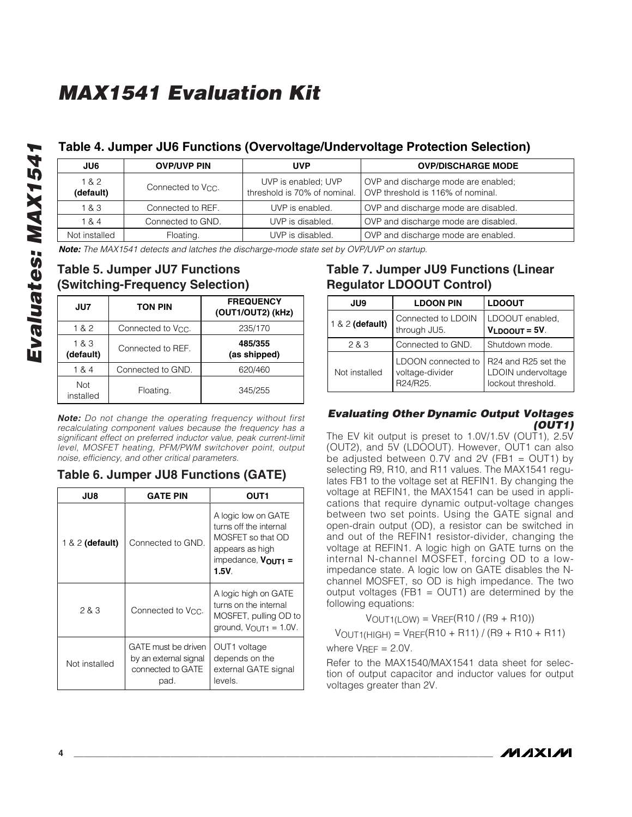## **Evaluate 4. Jumper JU6 Functions**<br> **Evaluate 18.2**<br> **Evaluates: The MAX1541** detects and latches the divideo Table 5. Jumper JU7 Functions<br> **Evaluate 18.4**<br> **Evaluate 18.4**<br> **Evaluates:** The MAX1541 detects and latches th **JU6 OVP/UVP PIN UVP OVP/DISCHARGE MODE** 1 & 2 1 & 2 Connected to V<sub>CC</sub>. UVP is enabled; UVP<br> **(default)** Connected to V<sub>CC</sub>. Inteshold is 70% of nominal. OVP and discharge mode are enabled; OVP threshold is 116% of nominal. 1 & 3 Connected to REF. UVP is enabled. OVP and discharge mode are disabled. 1 & 4 Connected to GND. UVP is disabled. OVP and discharge mode are disabled. Not installed Floating. Floating. UVP is disabled. OVP and discharge mode are enabled.

#### **Table 4. Jumper JU6 Functions (Overvoltage/Undervoltage Protection Selection)**

*Note: The MAX1541 detects and latches the discharge-mode state set by OVP/UVP on startup.*

# **(Switching-Frequency Selection)**

| JU7                | TON PIN                        | <b>FREQUENCY</b><br>(OUT1/OUT2) (kHz) |
|--------------------|--------------------------------|---------------------------------------|
| 1 & 2              | Connected to V <sub>CC</sub> . | 235/170                               |
| 1 & 3<br>(default) | Connected to REF.              | 485/355<br>(as shipped)               |
| 1 & 4              | Connected to GND.              | 620/460                               |
| Not<br>installed   | Floating.                      | 345/255                               |

*Note: Do not change the operating frequency without first recalculating component values because the frequency has a significant effect on preferred inductor value, peak current-limit level, MOSFET heating, PFM/PWM switchover point, output noise, efficiency, and other critical parameters.*

#### **Table 6. Jumper JU8 Functions (GATE)**

| JU8               | GATE PIN                                                                  | OUT1                                                                                                                     |
|-------------------|---------------------------------------------------------------------------|--------------------------------------------------------------------------------------------------------------------------|
| $1 & 2$ (default) | Connected to GND.                                                         | A logic low on GATE<br>turns off the internal<br>MOSFET so that OD<br>appears as high<br>impedance, $V_{OUT1} =$<br>1.5V |
| 2 & 3             | Connected to V <sub>CC</sub> .                                            | A logic high on GATE<br>turns on the internal<br>MOSFET, pulling OD to<br>ground, $V_{\text{OUT1}} = 1.0V$ .             |
| Not installed     | GATE must be driven<br>by an external signal<br>connected to GATE<br>pad. | OUT1 voltage<br>depends on the<br>external GATE signal<br>levels.                                                        |

#### **Table 7. Jumper JU9 Functions (Linear Regulator LDOOUT Control)**

| JU9             | <b>LDOON PIN</b>                                  | <b>LDOOUT</b>                                                   |
|-----------------|---------------------------------------------------|-----------------------------------------------------------------|
| 1 & 2 (default) | Connected to LDOIN<br>through JU5.                | LDOOUT enabled,<br>$V_{LDOOUT} = 5V$ .                          |
| 2 & 3           | Connected to GND.                                 | Shutdown mode.                                                  |
| Not installed   | LDOON connected to<br>voltage-divider<br>R24/R25. | R24 and R25 set the<br>LDOIN undervoltage<br>lockout threshold. |

#### *Evaluating Other Dynamic Output Voltages (OUT1)*

The EV kit output is preset to 1.0V/1.5V (OUT1), 2.5V (OUT2), and 5V (LDOOUT). However, OUT1 can also be adjusted between  $0.7V$  and  $2V$  (FB1 = OUT1) by selecting R9, R10, and R11 values. The MAX1541 regulates FB1 to the voltage set at REFIN1. By changing the voltage at REFIN1, the MAX1541 can be used in applications that require dynamic output-voltage changes between two set points. Using the GATE signal and open-drain output (OD), a resistor can be switched in and out of the REFIN1 resistor-divider, changing the voltage at REFIN1. A logic high on GATE turns on the internal N-channel MOSFET, forcing OD to a lowimpedance state. A logic low on GATE disables the Nchannel MOSFET, so OD is high impedance. The two output voltages (FB1 =  $OUT1$ ) are determined by the following equations:

 $V_{OUT1(LOW)} = V_{REF}(R10 / (R9 + R10))$ 

 $V$ OUT1(HIGH) =  $V$ REF(R10 + R11) / (R9 + R10 + R11)

where  $V<sub>REF</sub> = 2.0V$ .

Refer to the MAX1540/MAX1541 data sheet for selection of output capacitor and inductor values for output voltages greater than 2V.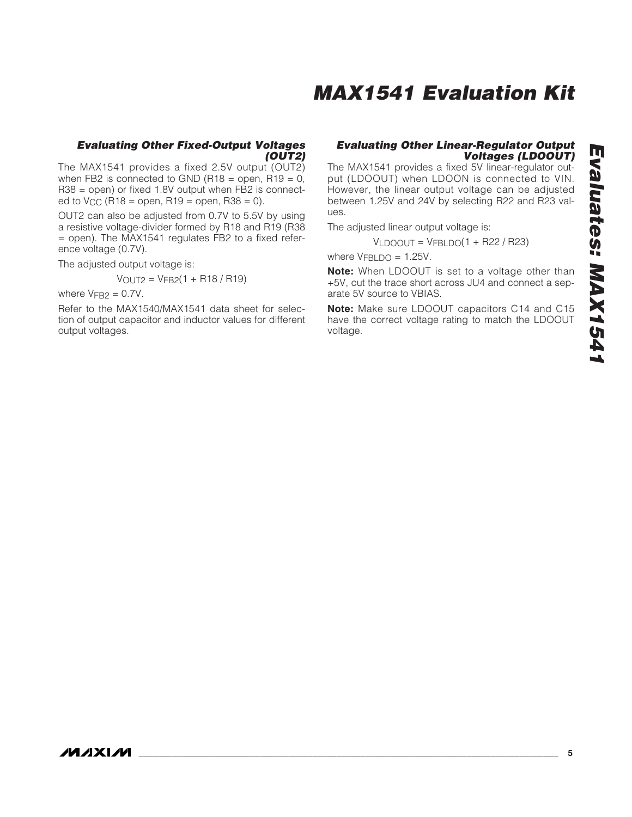#### *Evaluating Other Fixed-Output Voltages (OUT2)*

The MAX1541 provides a fixed 2.5V output (OUT2) when FB2 is connected to GND (R18 = open, R19 =  $0$ , R38 = open) or fixed 1.8V output when FB2 is connected to  $V_{CC}$  (R18 = open, R19 = open, R38 = 0).

OUT2 can also be adjusted from 0.7V to 5.5V by using a resistive voltage-divider formed by R18 and R19 (R38  $=$  open). The MAX1541 regulates FB2 to a fixed reference voltage (0.7V).

The adjusted output voltage is:

$$
V_{OUT2} = V_{FB2}(1 + R18 / R19)
$$

where  $V_{\text{FR2}} = 0.7V$ .

Refer to the MAX1540/MAX1541 data sheet for selection of output capacitor and inductor values for different output voltages.

#### *Evaluating Other Linear-Regulator Output Voltages (LDOOUT)*

The MAX1541 provides a fixed 5V linear-regulator output (LDOOUT) when LDOON is connected to VIN. However, the linear output voltage can be adjusted between 1.25V and 24V by selecting R22 and R23 values.

The adjusted linear output voltage is:

 $VLDOOUT = VFBLDO(1 + R22 / R23)$ 

where  $V_{\text{FBI DO}} = 1.25V$ .

**Note:** When LDOOUT is set to a voltage other than +5V, cut the trace short across JU4 and connect a separate 5V source to VBIAS.

**Note:** Make sure LDOOUT capacitors C14 and C15 have the correct voltage rating to match the LDOOUT voltage.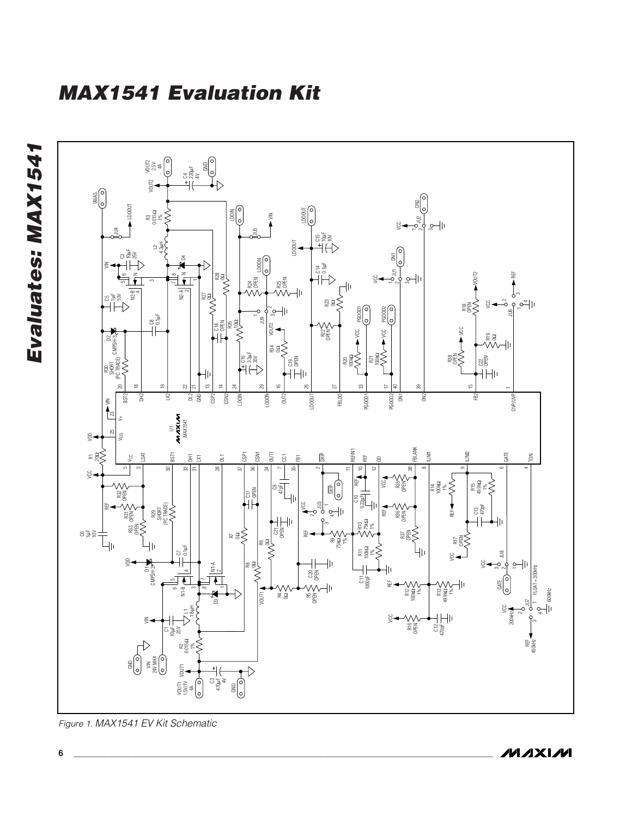

*Figure 1. MAX1541 EV Kit Schematic*

*Evaluates: MAX1541*

Evaluates: MAX1541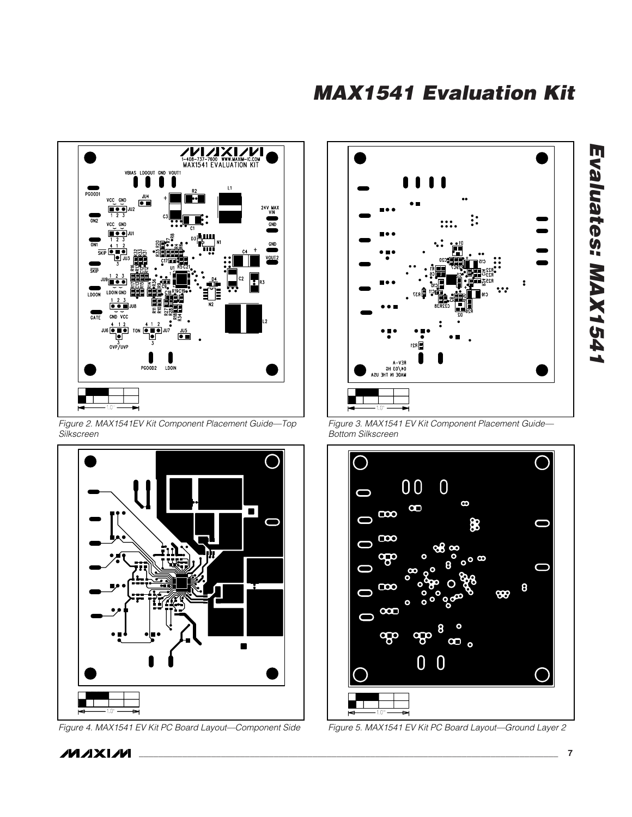



*Figure 2. MAX1541EV Kit Component Placement Guide—Top Silkscreen*



*Figure 4. MAX1541 EV Kit PC Board Layout—Component Side Figure 5. MAX1541 EV Kit PC Board Layout—Ground Layer 2*

**MAXIM** 



*Figure 3. MAX1541 EV Kit Component Placement Guide— Bottom Silkscreen*